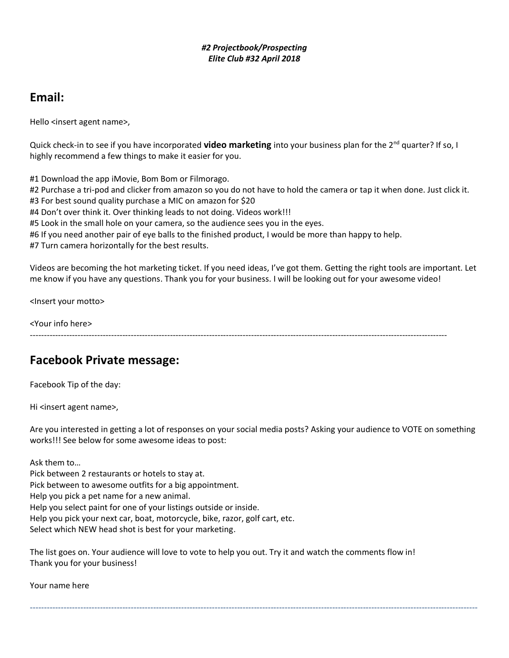#### *#2 Projectbook/Prospecting Elite Club #32 April 2018*

# **Email:**

Hello <insert agent name>,

Quick check-in to see if you have incorporated **video marketing** into your business plan for the 2nd quarter? If so, I highly recommend a few things to make it easier for you.

#1 Download the app iMovie, Bom Bom or Filmorago.

#2 Purchase a tri-pod and clicker from amazon so you do not have to hold the camera or tap it when done. Just click it.

#3 For best sound quality purchase a MIC on amazon for \$20

#4 Don't over think it. Over thinking leads to not doing. Videos work!!!

#5 Look in the small hole on your camera, so the audience sees you in the eyes.

#6 If you need another pair of eye balls to the finished product, I would be more than happy to help.

#7 Turn camera horizontally for the best results.

Videos are becoming the hot marketing ticket. If you need ideas, I've got them. Getting the right tools are important. Let me know if you have any questions. Thank you for your business. I will be looking out for your awesome video!

<Insert your motto>

<Your info here>

-----------------------------------------------------------------------------------------------------------------------------------------------------

### **Facebook Private message:**

Facebook Tip of the day:

Hi <insert agent name>,

Are you interested in getting a lot of responses on your social media posts? Asking your audience to VOTE on something works!!! See below for some awesome ideas to post:

----------------------------------------------------------------------------------------------------------------------------------------------------------------

Ask them to…

Pick between 2 restaurants or hotels to stay at. Pick between to awesome outfits for a big appointment. Help you pick a pet name for a new animal. Help you select paint for one of your listings outside or inside. Help you pick your next car, boat, motorcycle, bike, razor, golf cart, etc. Select which NEW head shot is best for your marketing.

The list goes on. Your audience will love to vote to help you out. Try it and watch the comments flow in! Thank you for your business!

Your name here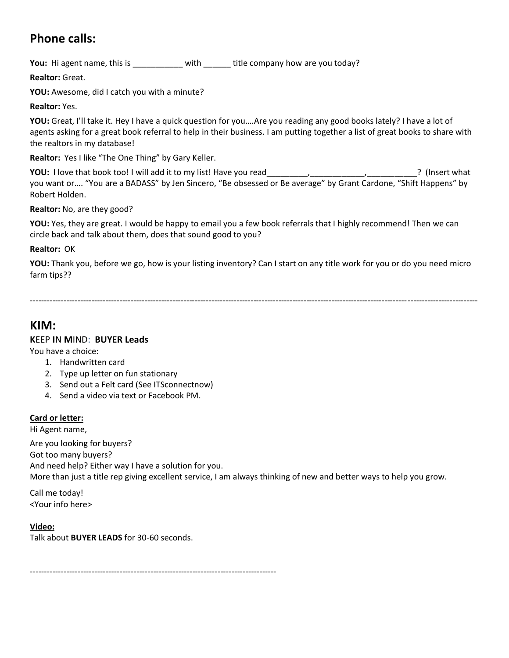# **Phone calls:**

You: Hi agent name, this is \_\_\_\_\_\_\_\_\_\_ with \_\_\_\_\_\_ title company how are you today?

**Realtor:** Great.

**YOU:** Awesome, did I catch you with a minute?

**Realtor:** Yes.

**YOU:** Great, I'll take it. Hey I have a quick question for you….Are you reading any good books lately? I have a lot of agents asking for a great book referral to help in their business. I am putting together a list of great books to share with the realtors in my database!

**Realtor:** Yes I like "The One Thing" by Gary Keller.

**YOU:** I love that book too! I will add it to my list! Have you read \_\_\_\_\_\_\_\_,\_\_\_\_\_\_\_\_\_\_, (Insert what you want or…. "You are a BADASS" by Jen Sincero, "Be obsessed or Be average" by Grant Cardone, "Shift Happens" by Robert Holden.

**Realtor:** No, are they good?

**YOU:** Yes, they are great. I would be happy to email you a few book referrals that I highly recommend! Then we can circle back and talk about them, does that sound good to you?

**Realtor:** OK

**YOU:** Thank you, before we go, how is your listing inventory? Can I start on any title work for you or do you need micro farm tips??

----------------------------------------------------------------------------------------------------------------------------------------------------------------

**KIM:**

#### **K**EEP **I**N **M**IND: **BUYER Leads**

You have a choice:

- 1. Handwritten card
- 2. Type up letter on fun stationary
- 3. Send out a Felt card (See ITSconnectnow)
- 4. Send a video via text or Facebook PM.

#### **Card or letter:**

Hi Agent name,

Are you looking for buyers? Got too many buyers? And need help? Either way I have a solution for you. More than just a title rep giving excellent service, I am always thinking of new and better ways to help you grow.

Call me today! <Your info here>

**Video:**

Talk about **BUYER LEADS** for 30-60 seconds.

----------------------------------------------------------------------------------------